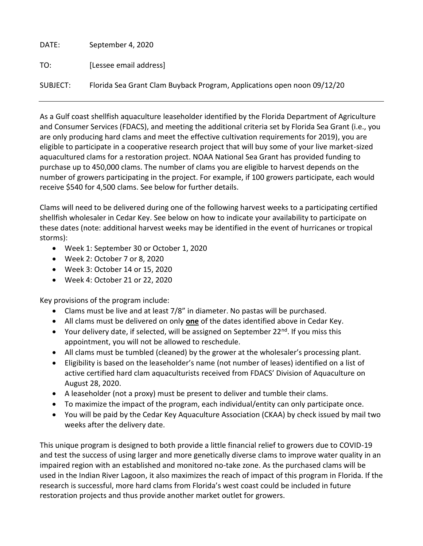DATE: September 4, 2020 TO: [Lessee email address] SUBJECT: Florida Sea Grant Clam Buyback Program, Applications open noon 09/12/20

As a Gulf coast shellfish aquaculture leaseholder identified by the Florida Department of Agriculture and Consumer Services (FDACS), and meeting the additional criteria set by Florida Sea Grant (i.e., you are only producing hard clams and meet the effective cultivation requirements for 2019), you are eligible to participate in a cooperative research project that will buy some of your live market-sized aquacultured clams for a restoration project. NOAA National Sea Grant has provided funding to purchase up to 450,000 clams. The number of clams you are eligible to harvest depends on the number of growers participating in the project. For example, if 100 growers participate, each would receive \$540 for 4,500 clams. See below for further details.

Clams will need to be delivered during one of the following harvest weeks to a participating certified shellfish wholesaler in Cedar Key. See below on how to indicate your availability to participate on these dates (note: additional harvest weeks may be identified in the event of hurricanes or tropical storms):

- Week 1: September 30 or October 1, 2020
- Week 2: October 7 or 8, 2020
- Week 3: October 14 or 15, 2020
- Week 4: October 21 or 22, 2020

Key provisions of the program include:

- Clams must be live and at least 7/8" in diameter. No pastas will be purchased.
- All clams must be delivered on only **one** of the dates identified above in Cedar Key.
- Your delivery date, if selected, will be assigned on September  $22^{nd}$ . If you miss this appointment, you will not be allowed to reschedule.
- All clams must be tumbled (cleaned) by the grower at the wholesaler's processing plant.
- Eligibility is based on the leaseholder's name (not number of leases) identified on a list of active certified hard clam aquaculturists received from FDACS' Division of Aquaculture on August 28, 2020.
- A leaseholder (not a proxy) must be present to deliver and tumble their clams.
- To maximize the impact of the program, each individual/entity can only participate once.
- You will be paid by the Cedar Key Aquaculture Association (CKAA) by check issued by mail two weeks after the delivery date.

This unique program is designed to both provide a little financial relief to growers due to COVID-19 and test the success of using larger and more genetically diverse clams to improve water quality in an impaired region with an established and monitored no-take zone. As the purchased clams will be used in the Indian River Lagoon, it also maximizes the reach of impact of this program in Florida. If the research is successful, more hard clams from Florida's west coast could be included in future restoration projects and thus provide another market outlet for growers.